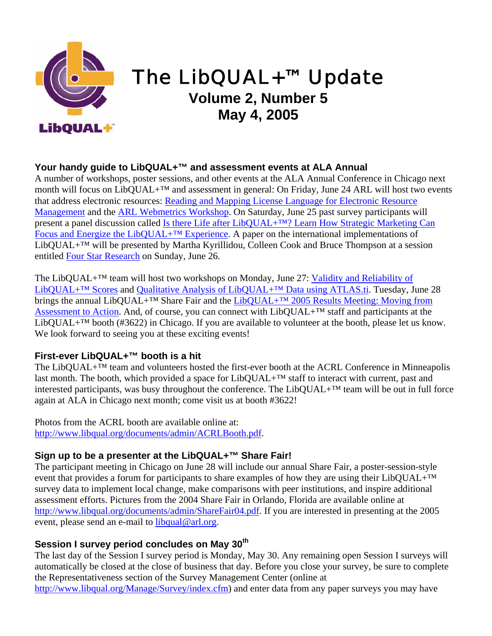

# The LibQUAL+™ Update

## **Volume 2, Number 5 May 4, 2005**

### **Your handy guide to LibQUAL+™ and assessment events at ALA Annual**

A number of workshops, poster sessions, and other events at the ALA Annual Conference in Chicago next month will focus on LibQUAL+<sup>™</sup> and assessment in general: On Friday, June 24 ARL will host two events that address electronic resources: [Reading and Mapping License Language for Electronic Resource](http://www.arl.org/stats/work/mapping.html)  [Management](http://www.arl.org/stats/work/mapping.html) and the **ARL Webmetrics Workshop**. On Saturday, June 25 past survey participants will present a panel discussion called [Is there Life after LibQUAL+™? Learn How Strategic Marketing Can](http://www.ala.org/ala/eventsandconferencesb/annual/2005a/user.pdf)  [Focus and Energize the LibQUAL+™ Experience](http://www.ala.org/ala/eventsandconferencesb/annual/2005a/user.pdf). A paper on the international implementations of LibQUAL+™ will be presented by Martha Kyrillidou, Colleen Cook and Bruce Thompson at a session entitled [Four Star Research](http://www.ala.org/ala/eventsandconferencesb/annual/2005a/research.pdf) on Sunday, June 26.

The LibQUAL+™ team will host two workshops on Monday, June 27: [Validity and Reliability of](https://db.arl.org/qualquan/) [LibQUAL+™ Scores](https://db.arl.org/qualquan/) and [Qualitative Analysis of LibQUAL+™ Data using ATLAS.ti.](https://db.arl.org/qualquan/) Tuesday, June 28 brings the annual LibQUAL+™ Share Fair and the [LibQUAL+™ 2005 Results Meeting: Moving from](https://db.arl.org/action/) [Assessment to Action.](https://db.arl.org/action/) And, of course, you can connect with LibQUAL+™ staff and participants at the LibQUAL+™ booth (#3622) in Chicago. If you are available to volunteer at the booth, please let us know. We look forward to seeing you at these exciting events!

#### **First-ever LibQUAL+™ booth is a hit**

The LibQUAL+<sup>™</sup> team and volunteers hosted the first-ever booth at the ACRL Conference in Minneapolis last month. The booth, which provided a space for LibQUAL+<sup>™</sup> staff to interact with current, past and interested participants, was busy throughout the conference. The LibQUAL+™ team will be out in full force again at ALA in Chicago next month; come visit us at booth #3622!

Photos from the ACRL booth are available online at: [http://www.libqual.org/documents/admin/ACRLBooth.pdf.](http://old.libqual.org/documents/admin/ACRLBooth.pdf)

#### **Sign up to be a presenter at the LibQUAL+™ Share Fair!**

The participant meeting in Chicago on June 28 will include our annual Share Fair, a poster-session-style event that provides a forum for participants to share examples of how they are using their LibQUAL+™ survey data to implement local change, make comparisons with peer institutions, and inspire additional assessment efforts. Pictures from the 2004 Share Fair in Orlando, Florida are available online at [http://www.libqual.org/documents/admin/ShareFair04.pdf.](http://old.libqual.org/documents/admin/ShareFair04.pdf) If you are interested in presenting at the 2005 event, please send an e-mail to [libqual@arl.org.](mailto:libqual@arl.org)

#### **Session I survey period concludes on May 30th**

The last day of the Session I survey period is Monday, May 30. Any remaining open Session I surveys will automatically be closed at the close of business that day. Before you close your survey, be sure to complete the Representativeness section of the Survey Management Center (online at [http://www.libqual.org/Manage/Survey/index.cfm](http://old.libqual.org/Manage/Survey/index.cfm)) and enter data from any paper surveys you may have